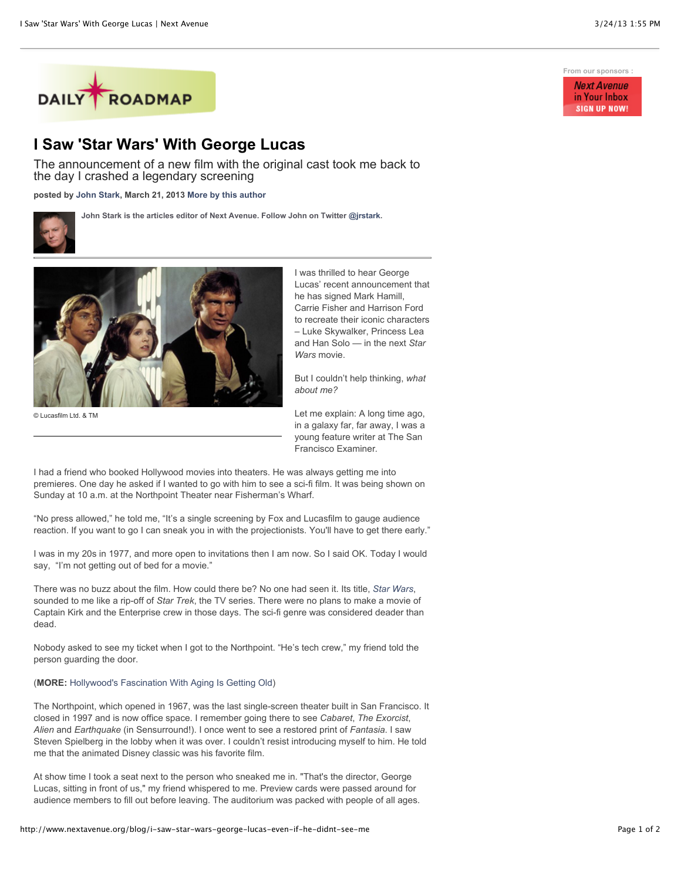

## **I Saw 'Star Wars' With George Lucas**

The announcement of a new film with the original cast took me back to the day I crashed a legendary screening

**posted by [John Stark,](http://www.nextavenue.org/staff/john-stark) March 21, 2013 [More by this author](http://www.nextavenue.org/staff/john-stark)**



**John Stark is the articles editor of Next Avenue. Follow John on Twitter [@jrstark](http://twitter.com/jrstark).**



© Lucasfilm Ltd. & TM

I was thrilled to hear George Lucas' recent announcement that he has signed Mark Hamill, Carrie Fisher and Harrison Ford to recreate their iconic characters – Luke Skywalker, Princess Lea and Han Solo — in the next *Star Wars* movie.

But I couldn't help thinking, *what about me?*

Let me explain: A long time ago, in a galaxy far, far away, I was a young feature writer at The San Francisco Examiner*.*

I had a friend who booked Hollywood movies into theaters. He was always getting me into premieres. One day he asked if I wanted to go with him to see a sci-fi film. It was being shown on Sunday at 10 a.m. at the Northpoint Theater near Fisherman's Wharf.

"No press allowed," he told me, "It's a single screening by Fox and Lucasfilm to gauge audience reaction. If you want to go I can sneak you in with the projectionists. You'll have to get there early."

I was in my 20s in 1977, and more open to invitations then I am now. So I said OK. Today I would say, "I'm not getting out of bed for a movie."

There was no buzz about the film. How could there be? No one had seen it. Its title, *[Star Wars](http://movies.nytimes.com/movie/46636/Star-Wars/overview)*, sounded to me like a rip-off of *Star Trek*, the TV series. There were no plans to make a movie of Captain Kirk and the Enterprise crew in those days. The sci-fi genre was considered deader than dead.

Nobody asked to see my ticket when I got to the Northpoint. "He's tech crew," my friend told the person guarding the door.

## (**MORE:** [Hollywood's Fascination With Aging Is Getting Old\)](http://www.nextavenue.org/blog/hollywoods-fascination-aging-getting-old)

The Northpoint, which opened in 1967, was the last single-screen theater built in San Francisco. It closed in 1997 and is now office space. I remember going there to see *Cabaret*, *The Exorcist*, *Alien* and *Earthquake* (in Sensurround!). I once went to see a restored print of *Fantasia*. I saw Steven Spielberg in the lobby when it was over. I couldn't resist introducing myself to him. He told me that the animated Disney classic was his favorite film.

At show time I took a seat next to the person who sneaked me in. "That's the director, George Lucas, sitting in front of us," my friend whispered to me. Preview cards were passed around for audience members to fill out before leaving. The auditorium was packed with people of all ages.